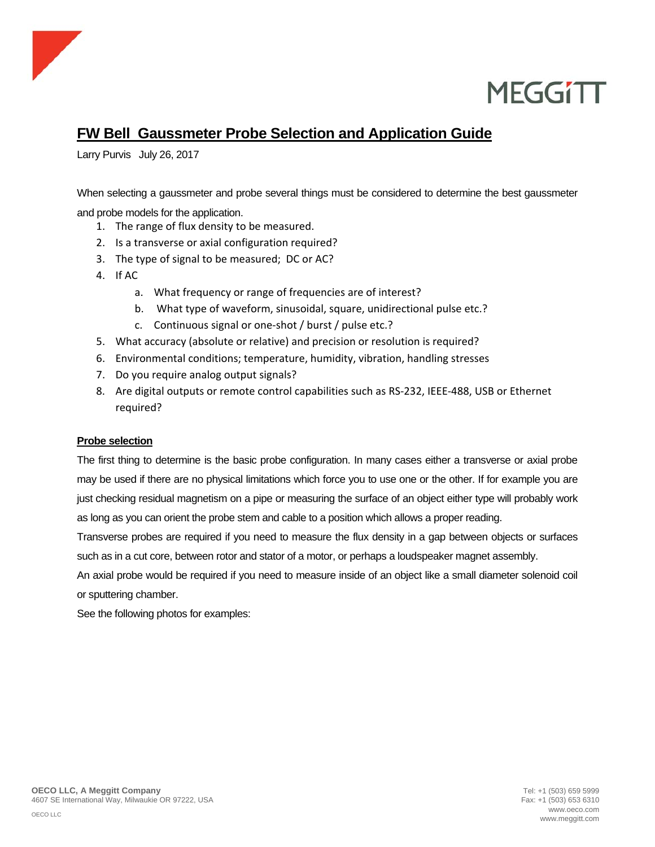



### **FW Bell Gaussmeter Probe Selection and Application Guide**

Larry Purvis July 26, 2017

When selecting a gaussmeter and probe several things must be considered to determine the best gaussmeter and probe models for the application.

- 1. The range of flux density to be measured.
- 2. Is a transverse or axial configuration required?
- 3. The type of signal to be measured; DC or AC?
- 4. If AC
	- a. What frequency or range of frequencies are of interest?
	- b. What type of waveform, sinusoidal, square, unidirectional pulse etc.?
	- c. Continuous signal or one‐shot / burst / pulse etc.?
- 5. What accuracy (absolute or relative) and precision or resolution is required?
- 6. Environmental conditions; temperature, humidity, vibration, handling stresses
- 7. Do you require analog output signals?
- 8. Are digital outputs or remote control capabilities such as RS‐232, IEEE‐488, USB or Ethernet required?

#### **Probe selection**

The first thing to determine is the basic probe configuration. In many cases either a transverse or axial probe may be used if there are no physical limitations which force you to use one or the other. If for example you are just checking residual magnetism on a pipe or measuring the surface of an object either type will probably work as long as you can orient the probe stem and cable to a position which allows a proper reading.

Transverse probes are required if you need to measure the flux density in a gap between objects or surfaces such as in a cut core, between rotor and stator of a motor, or perhaps a loudspeaker magnet assembly.

An axial probe would be required if you need to measure inside of an object like a small diameter solenoid coil or sputtering chamber.

See the following photos for examples: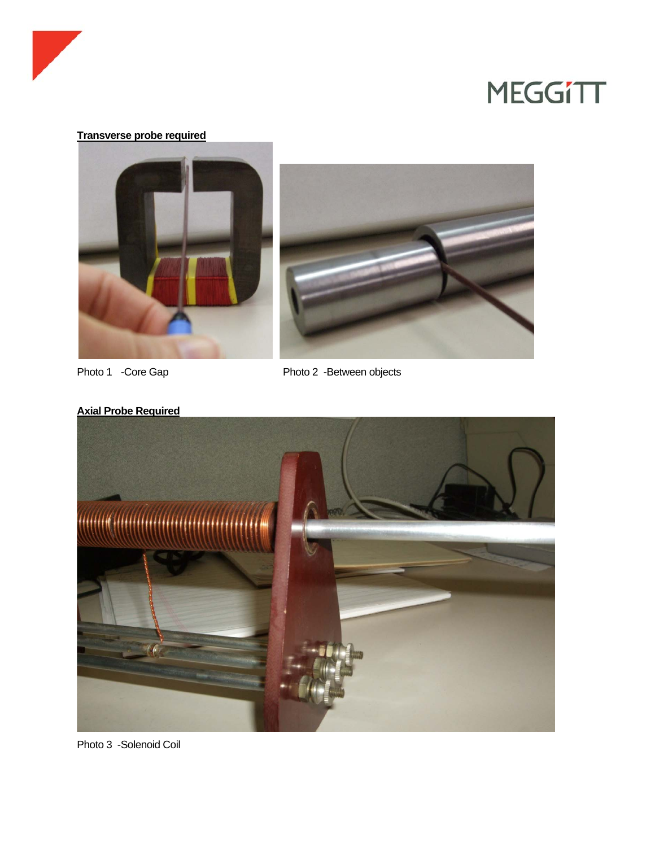

### **Transverse probe required**



Photo 1 -Core Gap Photo 2 -Between objects





Photo 3 -Solenoid Coil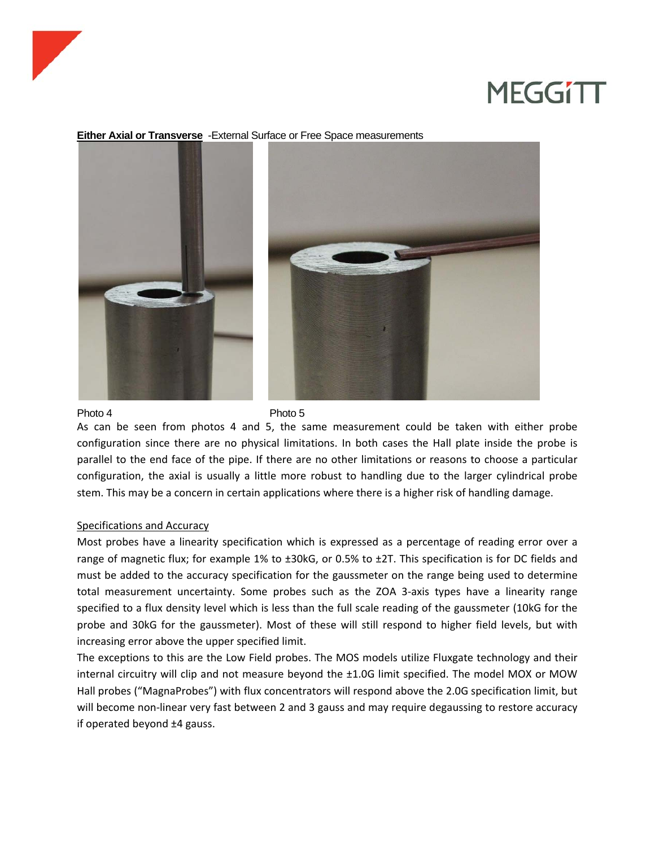

#### **Either Axial or Transverse** -External Surface or Free Space measurements





#### Photo 4 Photo 5

As can be seen from photos 4 and 5, the same measurement could be taken with either probe configuration since there are no physical limitations. In both cases the Hall plate inside the probe is parallel to the end face of the pipe. If there are no other limitations or reasons to choose a particular configuration, the axial is usually a little more robust to handling due to the larger cylindrical probe stem. This may be a concern in certain applications where there is a higher risk of handling damage.

#### Specifications and Accuracy

Most probes have a linearity specification which is expressed as a percentage of reading error over a range of magnetic flux; for example 1% to ±30kG, or 0.5% to ±2T. This specification is for DC fields and must be added to the accuracy specification for the gaussmeter on the range being used to determine total measurement uncertainty. Some probes such as the ZOA 3-axis types have a linearity range specified to a flux density level which is less than the full scale reading of the gaussmeter (10kG for the probe and 30kG for the gaussmeter). Most of these will still respond to higher field levels, but with increasing error above the upper specified limit.

The exceptions to this are the Low Field probes. The MOS models utilize Fluxgate technology and their internal circuitry will clip and not measure beyond the ±1.0G limit specified. The model MOX or MOW Hall probes ("MagnaProbes") with flux concentrators will respond above the 2.0G specification limit, but will become non-linear very fast between 2 and 3 gauss and may require degaussing to restore accuracy if operated beyond ±4 gauss.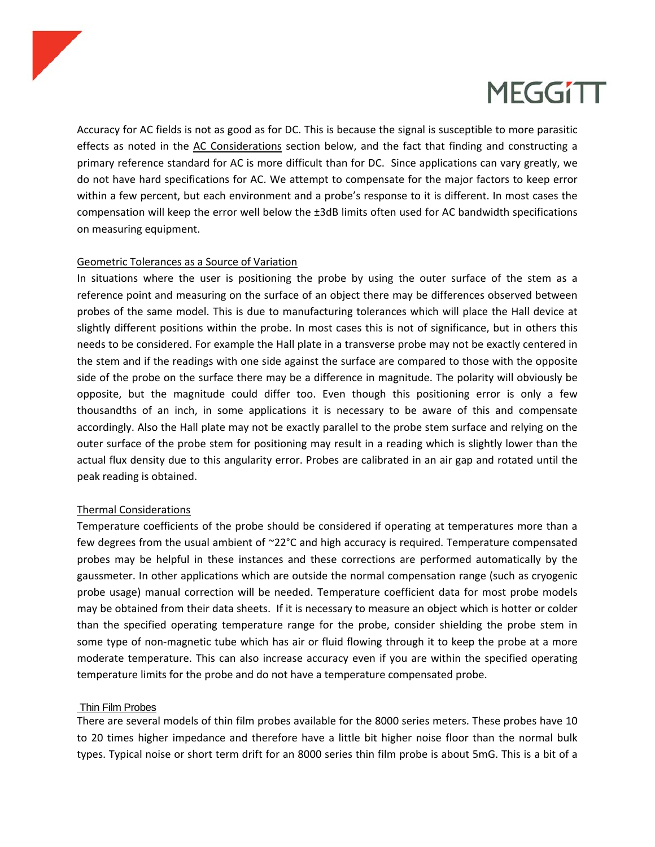

Accuracy for AC fields is not as good as for DC. This is because the signal is susceptible to more parasitic effects as noted in the AC Considerations section below, and the fact that finding and constructing a primary reference standard for AC is more difficult than for DC. Since applications can vary greatly, we do not have hard specifications for AC. We attempt to compensate for the major factors to keep error within a few percent, but each environment and a probe's response to it is different. In most cases the compensation will keep the error well below the ±3dB limits often used for AC bandwidth specifications on measuring equipment.

### Geometric Tolerances as a Source of Variation

In situations where the user is positioning the probe by using the outer surface of the stem as a reference point and measuring on the surface of an object there may be differences observed between probes of the same model. This is due to manufacturing tolerances which will place the Hall device at slightly different positions within the probe. In most cases this is not of significance, but in others this needs to be considered. For example the Hall plate in a transverse probe may not be exactly centered in the stem and if the readings with one side against the surface are compared to those with the opposite side of the probe on the surface there may be a difference in magnitude. The polarity will obviously be opposite, but the magnitude could differ too. Even though this positioning error is only a few thousandths of an inch, in some applications it is necessary to be aware of this and compensate accordingly. Also the Hall plate may not be exactly parallel to the probe stem surface and relying on the outer surface of the probe stem for positioning may result in a reading which is slightly lower than the actual flux density due to this angularity error. Probes are calibrated in an air gap and rotated until the peak reading is obtained.

### Thermal Considerations

Temperature coefficients of the probe should be considered if operating at temperatures more than a few degrees from the usual ambient of ~22°C and high accuracy is required. Temperature compensated probes may be helpful in these instances and these corrections are performed automatically by the gaussmeter. In other applications which are outside the normal compensation range (such as cryogenic probe usage) manual correction will be needed. Temperature coefficient data for most probe models may be obtained from their data sheets. If it is necessary to measure an object which is hotter or colder than the specified operating temperature range for the probe, consider shielding the probe stem in some type of non-magnetic tube which has air or fluid flowing through it to keep the probe at a more moderate temperature. This can also increase accuracy even if you are within the specified operating temperature limits for the probe and do not have a temperature compensated probe.

### Thin Film Probes

There are several models of thin film probes available for the 8000 series meters. These probes have 10 to 20 times higher impedance and therefore have a little bit higher noise floor than the normal bulk types. Typical noise or short term drift for an 8000 series thin film probe is about 5mG. This is a bit of a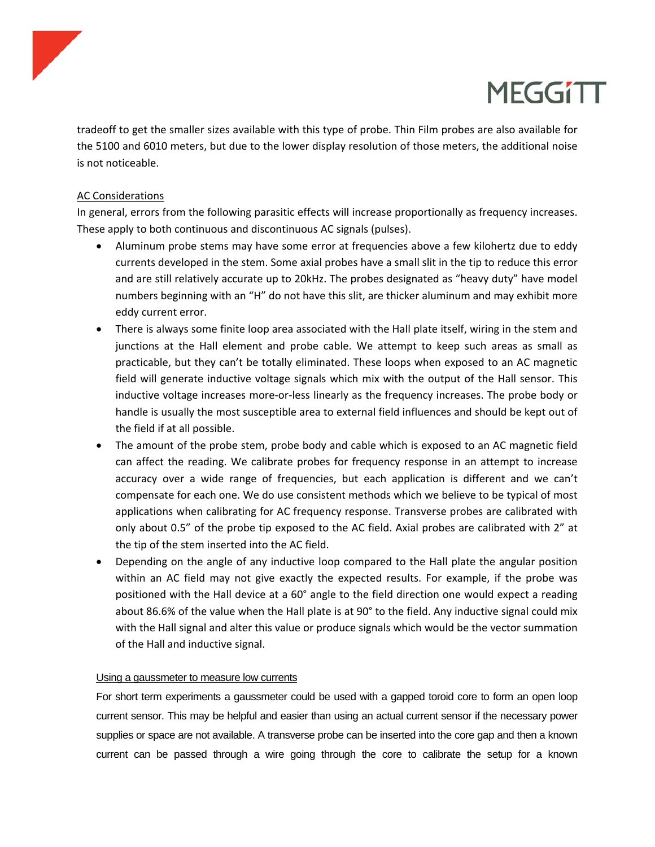

tradeoff to get the smaller sizes available with this type of probe. Thin Film probes are also available for the 5100 and 6010 meters, but due to the lower display resolution of those meters, the additional noise is not noticeable.

### AC Considerations

In general, errors from the following parasitic effects will increase proportionally as frequency increases. These apply to both continuous and discontinuous AC signals (pulses).

- Aluminum probe stems may have some error at frequencies above a few kilohertz due to eddy currents developed in the stem. Some axial probes have a small slit in the tip to reduce this error and are still relatively accurate up to 20kHz. The probes designated as "heavy duty" have model numbers beginning with an "H" do not have this slit, are thicker aluminum and may exhibit more eddy current error.
- There is always some finite loop area associated with the Hall plate itself, wiring in the stem and junctions at the Hall element and probe cable. We attempt to keep such areas as small as practicable, but they can't be totally eliminated. These loops when exposed to an AC magnetic field will generate inductive voltage signals which mix with the output of the Hall sensor. This inductive voltage increases more‐or‐less linearly as the frequency increases. The probe body or handle is usually the most susceptible area to external field influences and should be kept out of the field if at all possible.
- The amount of the probe stem, probe body and cable which is exposed to an AC magnetic field can affect the reading. We calibrate probes for frequency response in an attempt to increase accuracy over a wide range of frequencies, but each application is different and we can't compensate for each one. We do use consistent methods which we believe to be typical of most applications when calibrating for AC frequency response. Transverse probes are calibrated with only about 0.5" of the probe tip exposed to the AC field. Axial probes are calibrated with 2" at the tip of the stem inserted into the AC field.
- Depending on the angle of any inductive loop compared to the Hall plate the angular position within an AC field may not give exactly the expected results. For example, if the probe was positioned with the Hall device at a 60° angle to the field direction one would expect a reading about 86.6% of the value when the Hall plate is at 90° to the field. Any inductive signal could mix with the Hall signal and alter this value or produce signals which would be the vector summation of the Hall and inductive signal.

### Using a gaussmeter to measure low currents

For short term experiments a gaussmeter could be used with a gapped toroid core to form an open loop current sensor. This may be helpful and easier than using an actual current sensor if the necessary power supplies or space are not available. A transverse probe can be inserted into the core gap and then a known current can be passed through a wire going through the core to calibrate the setup for a known